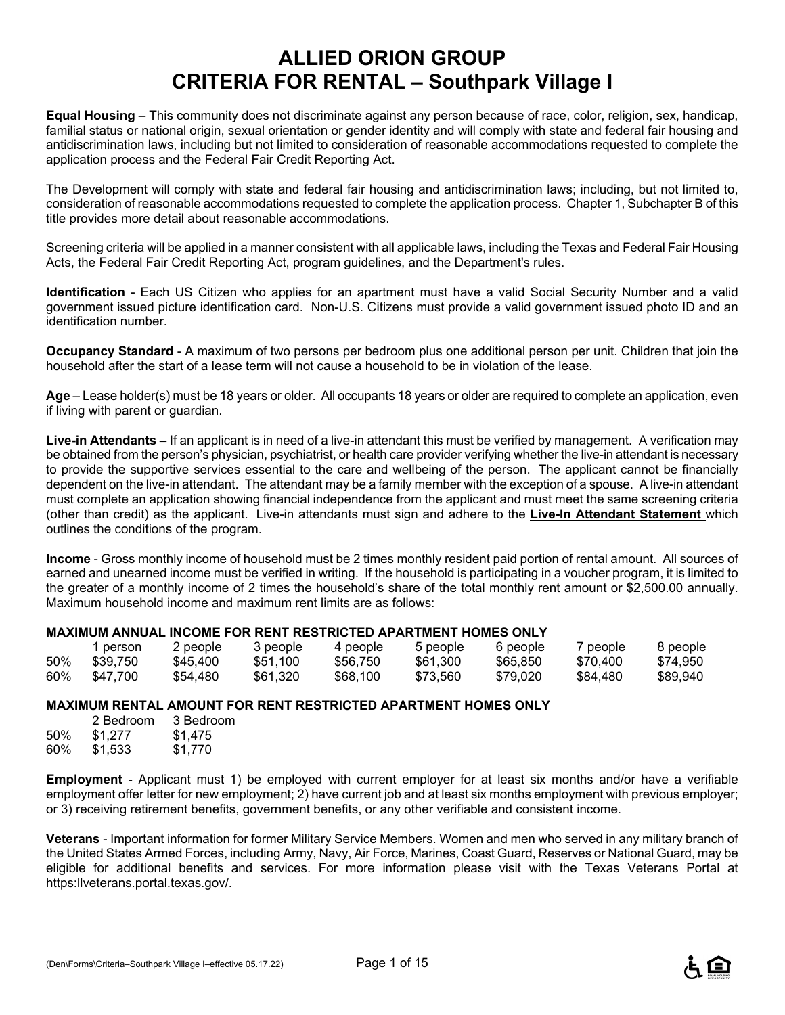# **ALLIED ORION GROUP CRITERIA FOR RENTAL – Southpark Village I**

**Equal Housing** – This community does not discriminate against any person because of race, color, religion, sex, handicap, familial status or national origin, sexual orientation or gender identity and will comply with state and federal fair housing and antidiscrimination laws, including but not limited to consideration of reasonable accommodations requested to complete the application process and the Federal Fair Credit Reporting Act.

The Development will comply with state and federal fair housing and antidiscrimination laws; including, but not limited to, consideration of reasonable accommodations requested to complete the application process. Chapter 1, Subchapter B of this title provides more detail about reasonable accommodations.

Screening criteria will be applied in a manner consistent with all applicable laws, including the Texas and Federal Fair Housing Acts, the Federal Fair Credit Reporting Act, program guidelines, and the Department's rules.

**Identification** - Each US Citizen who applies for an apartment must have a valid Social Security Number and a valid government issued picture identification card. Non-U.S. Citizens must provide a valid government issued photo ID and an identification number.

**Occupancy Standard** - A maximum of two persons per bedroom plus one additional person per unit. Children that join the household after the start of a lease term will not cause a household to be in violation of the lease.

**Age** – Lease holder(s) must be 18 years or older. All occupants 18 years or older are required to complete an application, even if living with parent or guardian.

**Live-in Attendants –** If an applicant is in need of a live-in attendant this must be verified by management. A verification may be obtained from the person's physician, psychiatrist, or health care provider verifying whether the live-in attendant is necessary to provide the supportive services essential to the care and wellbeing of the person. The applicant cannot be financially dependent on the live-in attendant. The attendant may be a family member with the exception of a spouse. A live-in attendant must complete an application showing financial independence from the applicant and must meet the same screening criteria (other than credit) as the applicant. Live-in attendants must sign and adhere to the **Live-In Attendant Statement** which outlines the conditions of the program.

**Income** - Gross monthly income of household must be 2 times monthly resident paid portion of rental amount. All sources of earned and unearned income must be verified in writing. If the household is participating in a voucher program, it is limited to the greater of a monthly income of 2 times the household's share of the total monthly rent amount or \$2,500.00 annually. Maximum household income and maximum rent limits are as follows:

#### **MAXIMUM ANNUAL INCOME FOR RENT RESTRICTED APARTMENT HOMES ONLY**

|     | person   | 2 people | 3 people | 4 people | 5 people | 6 people | / people | 8 people |
|-----|----------|----------|----------|----------|----------|----------|----------|----------|
| 50% | \$39.750 | \$45.400 | \$51.100 | \$56.750 | \$61.300 | \$65,850 | \$70,400 | \$74.950 |
| 60% | \$47.700 | \$54,480 | \$61,320 | \$68,100 | \$73.560 | \$79.020 | \$84.480 | \$89.940 |

#### **MAXIMUM RENTAL AMOUNT FOR RENT RESTRICTED APARTMENT HOMES ONLY**

|     | 2 Bedroom | 3 Bedroom |
|-----|-----------|-----------|
| 50% | \$1,277   | \$1,475   |
| 60% | \$1,533   | \$1,770   |

**Employment** - Applicant must 1) be employed with current employer for at least six months and/or have a verifiable employment offer letter for new employment; 2) have current job and at least six months employment with previous employer; or 3) receiving retirement benefits, government benefits, or any other verifiable and consistent income.

**Veterans** - Important information for former Military Service Members. Women and men who served in any military branch of the United States Armed Forces, including Army, Navy, Air Force, Marines, Coast Guard, Reserves or National Guard, may be eligible for additional benefits and services. For more information please visit with the Texas Veterans Portal at https:llveterans.portal.texas.gov/.

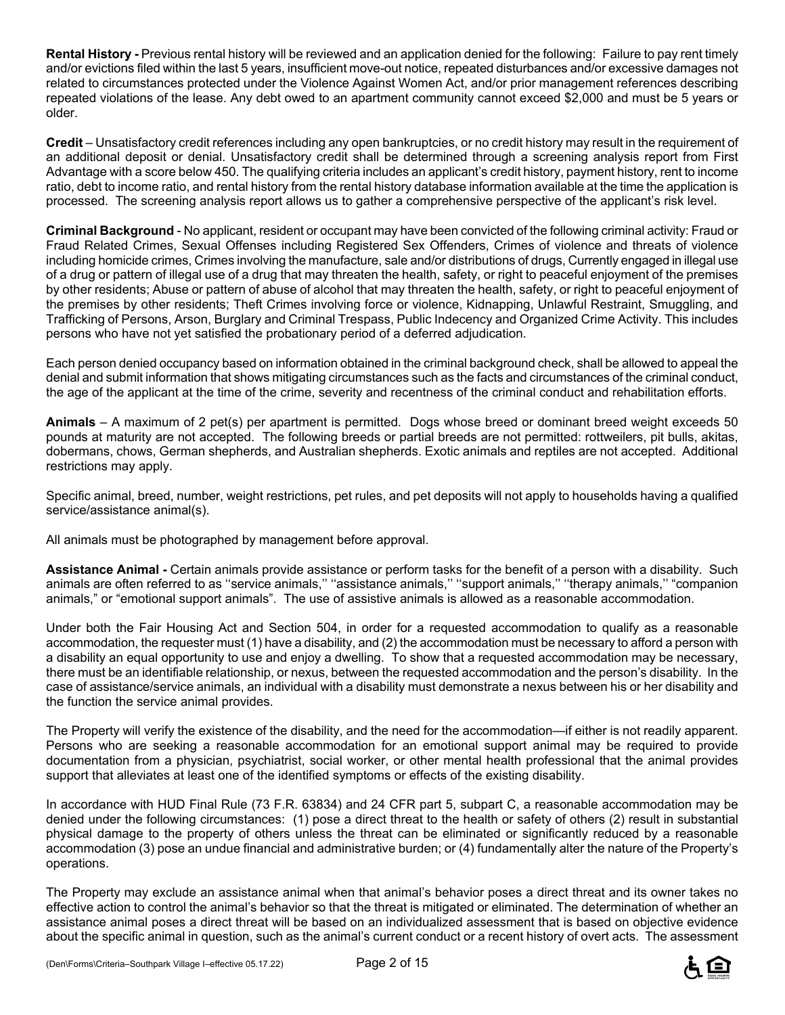**Rental History -** Previous rental history will be reviewed and an application denied for the following: Failure to pay rent timely and/or evictions filed within the last 5 years, insufficient move-out notice, repeated disturbances and/or excessive damages not related to circumstances protected under the Violence Against Women Act, and/or prior management references describing repeated violations of the lease. Any debt owed to an apartment community cannot exceed \$2,000 and must be 5 years or older.

**Credit** – Unsatisfactory credit references including any open bankruptcies, or no credit history may result in the requirement of an additional deposit or denial. Unsatisfactory credit shall be determined through a screening analysis report from First Advantage with a score below 450. The qualifying criteria includes an applicant's credit history, payment history, rent to income ratio, debt to income ratio, and rental history from the rental history database information available at the time the application is processed. The screening analysis report allows us to gather a comprehensive perspective of the applicant's risk level.

**Criminal Background** - No applicant, resident or occupant may have been convicted of the following criminal activity: Fraud or Fraud Related Crimes, Sexual Offenses including Registered Sex Offenders, Crimes of violence and threats of violence including homicide crimes, Crimes involving the manufacture, sale and/or distributions of drugs, Currently engaged in illegal use of a drug or pattern of illegal use of a drug that may threaten the health, safety, or right to peaceful enjoyment of the premises by other residents; Abuse or pattern of abuse of alcohol that may threaten the health, safety, or right to peaceful enjoyment of the premises by other residents; Theft Crimes involving force or violence, Kidnapping, Unlawful Restraint, Smuggling, and Trafficking of Persons, Arson, Burglary and Criminal Trespass, Public Indecency and Organized Crime Activity. This includes persons who have not yet satisfied the probationary period of a deferred adjudication.

Each person denied occupancy based on information obtained in the criminal background check, shall be allowed to appeal the denial and submit information that shows mitigating circumstances such as the facts and circumstances of the criminal conduct, the age of the applicant at the time of the crime, severity and recentness of the criminal conduct and rehabilitation efforts.

**Animals** – A maximum of 2 pet(s) per apartment is permitted. Dogs whose breed or dominant breed weight exceeds 50 pounds at maturity are not accepted. The following breeds or partial breeds are not permitted: rottweilers, pit bulls, akitas, dobermans, chows, German shepherds, and Australian shepherds. Exotic animals and reptiles are not accepted. Additional restrictions may apply.

Specific animal, breed, number, weight restrictions, pet rules, and pet deposits will not apply to households having a qualified service/assistance animal(s).

All animals must be photographed by management before approval.

**Assistance Animal -** Certain animals provide assistance or perform tasks for the benefit of a person with a disability. Such animals are often referred to as ''service animals,'' ''assistance animals,'' ''support animals,'' ''therapy animals,'' "companion animals," or "emotional support animals". The use of assistive animals is allowed as a reasonable accommodation.

Under both the Fair Housing Act and Section 504, in order for a requested accommodation to qualify as a reasonable accommodation, the requester must (1) have a disability, and (2) the accommodation must be necessary to afford a person with a disability an equal opportunity to use and enjoy a dwelling. To show that a requested accommodation may be necessary, there must be an identifiable relationship, or nexus, between the requested accommodation and the person's disability. In the case of assistance/service animals, an individual with a disability must demonstrate a nexus between his or her disability and the function the service animal provides.

The Property will verify the existence of the disability, and the need for the accommodation—if either is not readily apparent. Persons who are seeking a reasonable accommodation for an emotional support animal may be required to provide documentation from a physician, psychiatrist, social worker, or other mental health professional that the animal provides support that alleviates at least one of the identified symptoms or effects of the existing disability.

In accordance with HUD Final Rule (73 F.R. 63834) and 24 CFR part 5, subpart C, a reasonable accommodation may be denied under the following circumstances: (1) pose a direct threat to the health or safety of others (2) result in substantial physical damage to the property of others unless the threat can be eliminated or significantly reduced by a reasonable accommodation (3) pose an undue financial and administrative burden; or (4) fundamentally alter the nature of the Property's operations.

The Property may exclude an assistance animal when that animal's behavior poses a direct threat and its owner takes no effective action to control the animal's behavior so that the threat is mitigated or eliminated. The determination of whether an assistance animal poses a direct threat will be based on an individualized assessment that is based on objective evidence about the specific animal in question, such as the animal's current conduct or a recent history of overt acts. The assessment

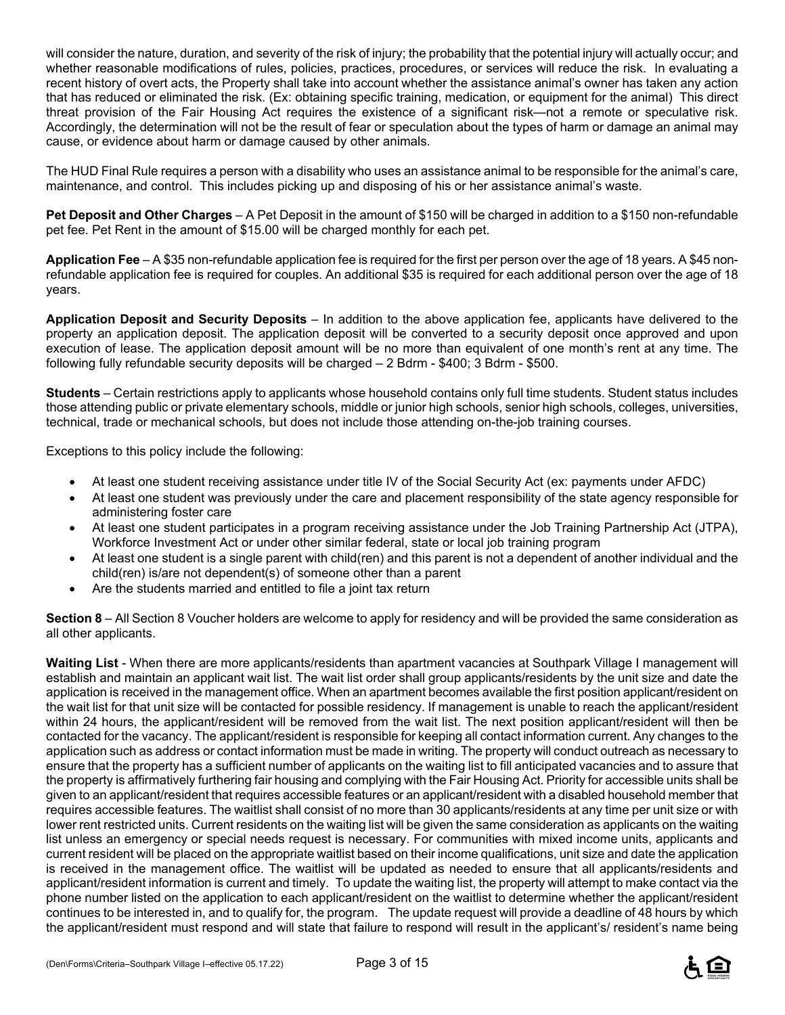will consider the nature, duration, and severity of the risk of injury; the probability that the potential injury will actually occur; and whether reasonable modifications of rules, policies, practices, procedures, or services will reduce the risk. In evaluating a recent history of overt acts, the Property shall take into account whether the assistance animal's owner has taken any action that has reduced or eliminated the risk. (Ex: obtaining specific training, medication, or equipment for the animal) This direct threat provision of the Fair Housing Act requires the existence of a significant risk—not a remote or speculative risk. Accordingly, the determination will not be the result of fear or speculation about the types of harm or damage an animal may cause, or evidence about harm or damage caused by other animals.

The HUD Final Rule requires a person with a disability who uses an assistance animal to be responsible for the animal's care, maintenance, and control. This includes picking up and disposing of his or her assistance animal's waste.

**Pet Deposit and Other Charges** – A Pet Deposit in the amount of \$150 will be charged in addition to a \$150 non-refundable pet fee. Pet Rent in the amount of \$15.00 will be charged monthly for each pet.

**Application Fee** – A \$35 non-refundable application fee is required for the first per person over the age of 18 years. A \$45 nonrefundable application fee is required for couples. An additional \$35 is required for each additional person over the age of 18 years.

**Application Deposit and Security Deposits** – In addition to the above application fee, applicants have delivered to the property an application deposit. The application deposit will be converted to a security deposit once approved and upon execution of lease. The application deposit amount will be no more than equivalent of one month's rent at any time. The following fully refundable security deposits will be charged – 2 Bdrm - \$400; 3 Bdrm - \$500.

**Students** – Certain restrictions apply to applicants whose household contains only full time students. Student status includes those attending public or private elementary schools, middle or junior high schools, senior high schools, colleges, universities, technical, trade or mechanical schools, but does not include those attending on-the-job training courses.

Exceptions to this policy include the following:

- At least one student receiving assistance under title IV of the Social Security Act (ex: payments under AFDC)
- At least one student was previously under the care and placement responsibility of the state agency responsible for administering foster care
- At least one student participates in a program receiving assistance under the Job Training Partnership Act (JTPA), Workforce Investment Act or under other similar federal, state or local job training program
- At least one student is a single parent with child(ren) and this parent is not a dependent of another individual and the child(ren) is/are not dependent(s) of someone other than a parent
- Are the students married and entitled to file a joint tax return

**Section 8** – All Section 8 Voucher holders are welcome to apply for residency and will be provided the same consideration as all other applicants.

**Waiting List** - When there are more applicants/residents than apartment vacancies at Southpark Village I management will establish and maintain an applicant wait list. The wait list order shall group applicants/residents by the unit size and date the application is received in the management office. When an apartment becomes available the first position applicant/resident on the wait list for that unit size will be contacted for possible residency. If management is unable to reach the applicant/resident within 24 hours, the applicant/resident will be removed from the wait list. The next position applicant/resident will then be contacted for the vacancy. The applicant/resident is responsible for keeping all contact information current. Any changes to the application such as address or contact information must be made in writing. The property will conduct outreach as necessary to ensure that the property has a sufficient number of applicants on the waiting list to fill anticipated vacancies and to assure that the property is affirmatively furthering fair housing and complying with the Fair Housing Act. Priority for accessible units shall be given to an applicant/resident that requires accessible features or an applicant/resident with a disabled household member that requires accessible features. The waitlist shall consist of no more than 30 applicants/residents at any time per unit size or with lower rent restricted units. Current residents on the waiting list will be given the same consideration as applicants on the waiting list unless an emergency or special needs request is necessary. For communities with mixed income units, applicants and current resident will be placed on the appropriate waitlist based on their income qualifications, unit size and date the application is received in the management office. The waitlist will be updated as needed to ensure that all applicants/residents and applicant/resident information is current and timely. To update the waiting list, the property will attempt to make contact via the phone number listed on the application to each applicant/resident on the waitlist to determine whether the applicant/resident continues to be interested in, and to qualify for, the program. The update request will provide a deadline of 48 hours by which the applicant/resident must respond and will state that failure to respond will result in the applicant's/ resident's name being



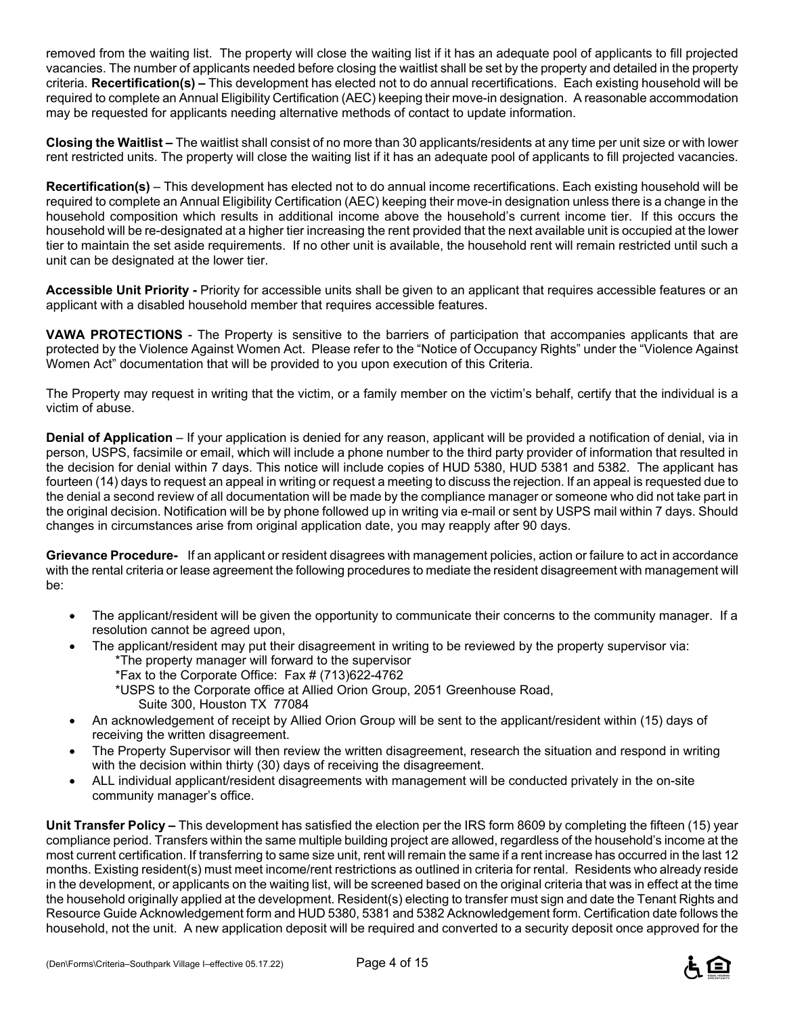removed from the waiting list. The property will close the waiting list if it has an adequate pool of applicants to fill projected vacancies. The number of applicants needed before closing the waitlist shall be set by the property and detailed in the property criteria. **Recertification(s) –** This development has elected not to do annual recertifications. Each existing household will be required to complete an Annual Eligibility Certification (AEC) keeping their move-in designation. A reasonable accommodation may be requested for applicants needing alternative methods of contact to update information.

**Closing the Waitlist –** The waitlist shall consist of no more than 30 applicants/residents at any time per unit size or with lower rent restricted units. The property will close the waiting list if it has an adequate pool of applicants to fill projected vacancies.

**Recertification(s)** – This development has elected not to do annual income recertifications. Each existing household will be required to complete an Annual Eligibility Certification (AEC) keeping their move-in designation unless there is a change in the household composition which results in additional income above the household's current income tier. If this occurs the household will be re-designated at a higher tier increasing the rent provided that the next available unit is occupied at the lower tier to maintain the set aside requirements. If no other unit is available, the household rent will remain restricted until such a unit can be designated at the lower tier.

**Accessible Unit Priority -** Priority for accessible units shall be given to an applicant that requires accessible features or an applicant with a disabled household member that requires accessible features.

**VAWA PROTECTIONS** - The Property is sensitive to the barriers of participation that accompanies applicants that are protected by the Violence Against Women Act. Please refer to the "Notice of Occupancy Rights" under the "Violence Against Women Act" documentation that will be provided to you upon execution of this Criteria.

The Property may request in writing that the victim, or a family member on the victim's behalf, certify that the individual is a victim of abuse.

**Denial of Application** – If your application is denied for any reason, applicant will be provided a notification of denial, via in person, USPS, facsimile or email, which will include a phone number to the third party provider of information that resulted in the decision for denial within 7 days. This notice will include copies of HUD 5380, HUD 5381 and 5382. The applicant has fourteen (14) days to request an appeal in writing or request a meeting to discuss the rejection. If an appeal is requested due to the denial a second review of all documentation will be made by the compliance manager or someone who did not take part in the original decision. Notification will be by phone followed up in writing via e-mail or sent by USPS mail within 7 days. Should changes in circumstances arise from original application date, you may reapply after 90 days.

**Grievance Procedure-** If an applicant or resident disagrees with management policies, action or failure to act in accordance with the rental criteria or lease agreement the following procedures to mediate the resident disagreement with management will be:

- The applicant/resident will be given the opportunity to communicate their concerns to the community manager. If a resolution cannot be agreed upon,
- The applicant/resident may put their disagreement in writing to be reviewed by the property supervisor via: \*The property manager will forward to the supervisor
	- \*Fax to the Corporate Office: Fax # (713)622-4762
	- \*USPS to the Corporate office at Allied Orion Group, 2051 Greenhouse Road, Suite 300, Houston TX 77084
- An acknowledgement of receipt by Allied Orion Group will be sent to the applicant/resident within (15) days of receiving the written disagreement.
- The Property Supervisor will then review the written disagreement, research the situation and respond in writing with the decision within thirty (30) days of receiving the disagreement.
- ALL individual applicant/resident disagreements with management will be conducted privately in the on-site community manager's office.

**Unit Transfer Policy –** This development has satisfied the election per the IRS form 8609 by completing the fifteen (15) year compliance period. Transfers within the same multiple building project are allowed, regardless of the household's income at the most current certification. If transferring to same size unit, rent will remain the same if a rent increase has occurred in the last 12 months. Existing resident(s) must meet income/rent restrictions as outlined in criteria for rental. Residents who already reside in the development, or applicants on the waiting list, will be screened based on the original criteria that was in effect at the time the household originally applied at the development. Resident(s) electing to transfer must sign and date the Tenant Rights and Resource Guide Acknowledgement form and HUD 5380, 5381 and 5382 Acknowledgement form. Certification date follows the household, not the unit. A new application deposit will be required and converted to a security deposit once approved for the

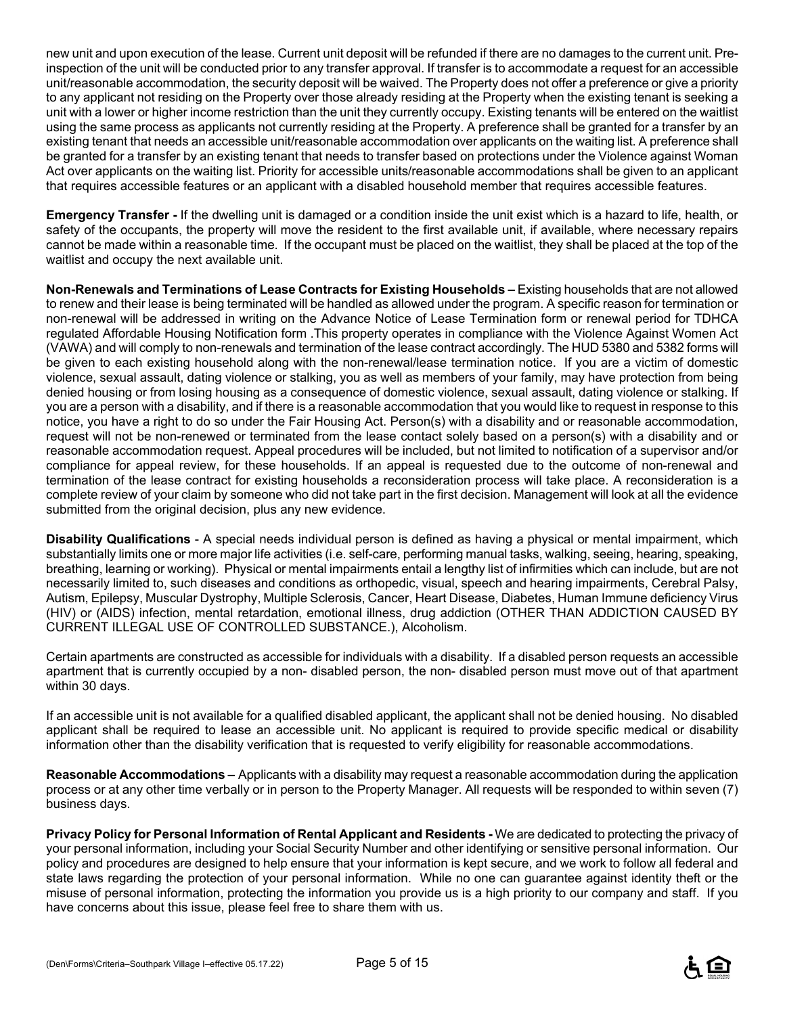new unit and upon execution of the lease. Current unit deposit will be refunded if there are no damages to the current unit. Preinspection of the unit will be conducted prior to any transfer approval. If transfer is to accommodate a request for an accessible unit/reasonable accommodation, the security deposit will be waived. The Property does not offer a preference or give a priority to any applicant not residing on the Property over those already residing at the Property when the existing tenant is seeking a unit with a lower or higher income restriction than the unit they currently occupy. Existing tenants will be entered on the waitlist using the same process as applicants not currently residing at the Property. A preference shall be granted for a transfer by an existing tenant that needs an accessible unit/reasonable accommodation over applicants on the waiting list. A preference shall be granted for a transfer by an existing tenant that needs to transfer based on protections under the Violence against Woman Act over applicants on the waiting list. Priority for accessible units/reasonable accommodations shall be given to an applicant that requires accessible features or an applicant with a disabled household member that requires accessible features.

**Emergency Transfer -** If the dwelling unit is damaged or a condition inside the unit exist which is a hazard to life, health, or safety of the occupants, the property will move the resident to the first available unit, if available, where necessary repairs cannot be made within a reasonable time. If the occupant must be placed on the waitlist, they shall be placed at the top of the waitlist and occupy the next available unit.

**Non-Renewals and Terminations of Lease Contracts for Existing Households –** Existing households that are not allowed to renew and their lease is being terminated will be handled as allowed under the program. A specific reason for termination or non-renewal will be addressed in writing on the Advance Notice of Lease Termination form or renewal period for TDHCA regulated Affordable Housing Notification form .This property operates in compliance with the Violence Against Women Act (VAWA) and will comply to non-renewals and termination of the lease contract accordingly. The HUD 5380 and 5382 forms will be given to each existing household along with the non-renewal/lease termination notice. If you are a victim of domestic violence, sexual assault, dating violence or stalking, you as well as members of your family, may have protection from being denied housing or from losing housing as a consequence of domestic violence, sexual assault, dating violence or stalking. If you are a person with a disability, and if there is a reasonable accommodation that you would like to request in response to this notice, you have a right to do so under the Fair Housing Act. Person(s) with a disability and or reasonable accommodation, request will not be non-renewed or terminated from the lease contact solely based on a person(s) with a disability and or reasonable accommodation request. Appeal procedures will be included, but not limited to notification of a supervisor and/or compliance for appeal review, for these households. If an appeal is requested due to the outcome of non-renewal and termination of the lease contract for existing households a reconsideration process will take place. A reconsideration is a complete review of your claim by someone who did not take part in the first decision. Management will look at all the evidence submitted from the original decision, plus any new evidence.

**Disability Qualifications** - A special needs individual person is defined as having a physical or mental impairment, which substantially limits one or more major life activities (i.e. self-care, performing manual tasks, walking, seeing, hearing, speaking, breathing, learning or working). Physical or mental impairments entail a lengthy list of infirmities which can include, but are not necessarily limited to, such diseases and conditions as orthopedic, visual, speech and hearing impairments, Cerebral Palsy, Autism, Epilepsy, Muscular Dystrophy, Multiple Sclerosis, Cancer, Heart Disease, Diabetes, Human Immune deficiency Virus (HIV) or (AIDS) infection, mental retardation, emotional illness, drug addiction (OTHER THAN ADDICTION CAUSED BY CURRENT ILLEGAL USE OF CONTROLLED SUBSTANCE.), Alcoholism.

Certain apartments are constructed as accessible for individuals with a disability. If a disabled person requests an accessible apartment that is currently occupied by a non- disabled person, the non- disabled person must move out of that apartment within 30 days.

If an accessible unit is not available for a qualified disabled applicant, the applicant shall not be denied housing. No disabled applicant shall be required to lease an accessible unit. No applicant is required to provide specific medical or disability information other than the disability verification that is requested to verify eligibility for reasonable accommodations.

**Reasonable Accommodations –** Applicants with a disability may request a reasonable accommodation during the application process or at any other time verbally or in person to the Property Manager. All requests will be responded to within seven (7) business days.

**Privacy Policy for Personal Information of Rental Applicant and Residents -** We are dedicated to protecting the privacy of your personal information, including your Social Security Number and other identifying or sensitive personal information. Our policy and procedures are designed to help ensure that your information is kept secure, and we work to follow all federal and state laws regarding the protection of your personal information. While no one can guarantee against identity theft or the misuse of personal information, protecting the information you provide us is a high priority to our company and staff. If you have concerns about this issue, please feel free to share them with us.

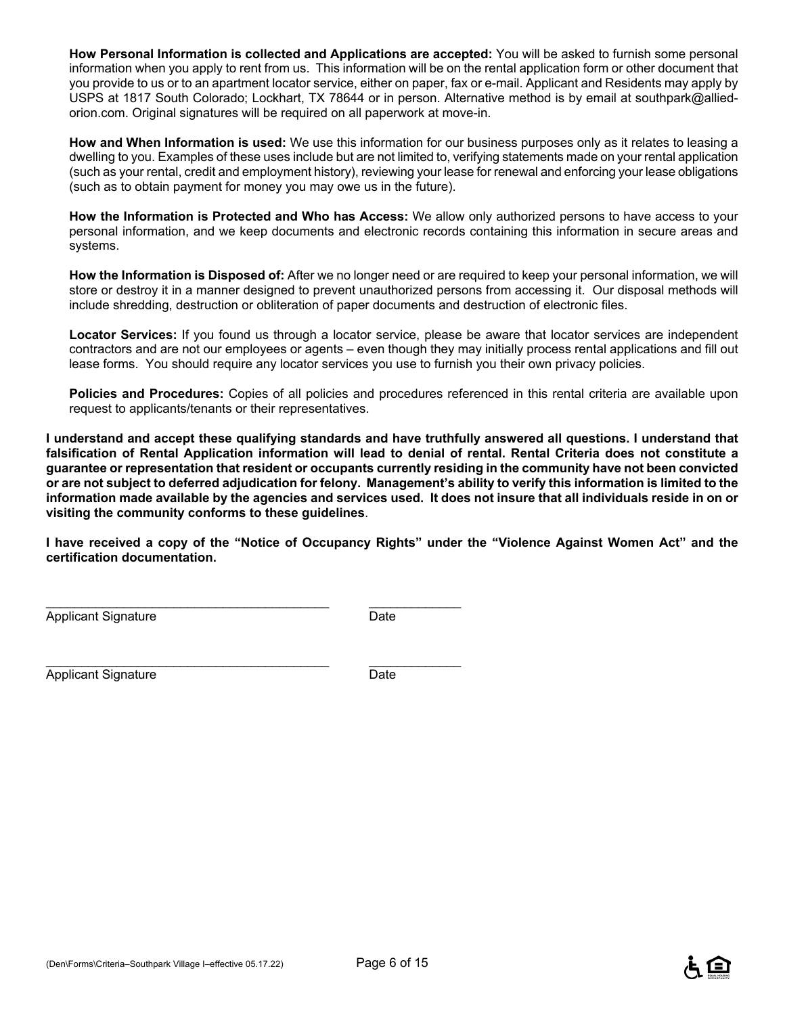**How Personal Information is collected and Applications are accepted:** You will be asked to furnish some personal information when you apply to rent from us. This information will be on the rental application form or other document that you provide to us or to an apartment locator service, either on paper, fax or e-mail. Applicant and Residents may apply by USPS at 1817 South Colorado; Lockhart, TX 78644 or in person. Alternative method is by email at southpark@alliedorion.com. Original signatures will be required on all paperwork at move-in.

**How and When Information is used:** We use this information for our business purposes only as it relates to leasing a dwelling to you. Examples of these uses include but are not limited to, verifying statements made on your rental application (such as your rental, credit and employment history), reviewing your lease for renewal and enforcing your lease obligations (such as to obtain payment for money you may owe us in the future).

**How the Information is Protected and Who has Access:** We allow only authorized persons to have access to your personal information, and we keep documents and electronic records containing this information in secure areas and systems.

**How the Information is Disposed of:** After we no longer need or are required to keep your personal information, we will store or destroy it in a manner designed to prevent unauthorized persons from accessing it. Our disposal methods will include shredding, destruction or obliteration of paper documents and destruction of electronic files.

**Locator Services:** If you found us through a locator service, please be aware that locator services are independent contractors and are not our employees or agents – even though they may initially process rental applications and fill out lease forms. You should require any locator services you use to furnish you their own privacy policies.

**Policies and Procedures:** Copies of all policies and procedures referenced in this rental criteria are available upon request to applicants/tenants or their representatives.

**I understand and accept these qualifying standards and have truthfully answered all questions. I understand that falsification of Rental Application information will lead to denial of rental. Rental Criteria does not constitute a guarantee or representation that resident or occupants currently residing in the community have not been convicted or are not subject to deferred adjudication for felony. Management's ability to verify this information is limited to the information made available by the agencies and services used. It does not insure that all individuals reside in on or visiting the community conforms to these guidelines**.

**I have received a copy of the "Notice of Occupancy Rights" under the "Violence Against Women Act" and the certification documentation.** 

Applicant Signature Date

\_\_\_\_\_\_\_\_\_\_\_\_\_\_\_\_\_\_\_\_\_\_\_\_\_\_\_\_\_\_\_\_\_\_\_\_\_\_\_\_ \_\_\_\_\_\_\_\_\_\_\_\_\_

 $\_$  , and the set of the set of the set of the set of the set of the set of the set of the set of the set of the set of the set of the set of the set of the set of the set of the set of the set of the set of the set of th

Applicant Signature Date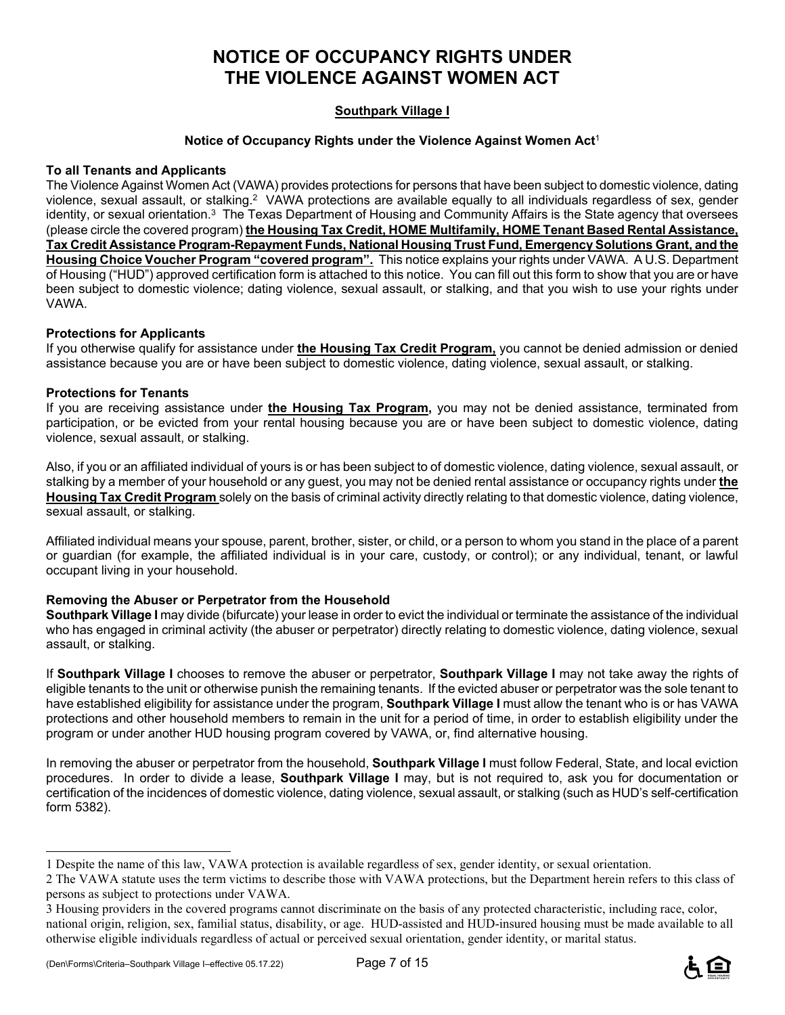## **NOTICE OF OCCUPANCY RIGHTS UNDER THE VIOLENCE AGAINST WOMEN ACT**

### **Southpark Village I**

#### **Notice of Occupancy Rights under the Violence Against Women Act**<sup>1</sup>

#### **To all Tenants and Applicants**

The Violence Against Women Act (VAWA) provides protections for persons that have been subject to domestic violence, dating violence, sexual assault, or stalking.2 VAWA protections are available equally to all individuals regardless of sex, gender identity, or sexual orientation.<sup>3</sup> The Texas Department of Housing and Community Affairs is the State agency that oversees (please circle the covered program) **the Housing Tax Credit, HOME Multifamily, HOME Tenant Based Rental Assistance, Tax Credit Assistance Program-Repayment Funds, National Housing Trust Fund, Emergency Solutions Grant, and the Housing Choice Voucher Program "covered program".** This notice explains your rights under VAWA. A U.S. Department of Housing ("HUD") approved certification form is attached to this notice. You can fill out this form to show that you are or have been subject to domestic violence; dating violence, sexual assault, or stalking, and that you wish to use your rights under VAWA.

#### **Protections for Applicants**

If you otherwise qualify for assistance under **the Housing Tax Credit Program,** you cannot be denied admission or denied assistance because you are or have been subject to domestic violence, dating violence, sexual assault, or stalking.

#### **Protections for Tenants**

If you are receiving assistance under **the Housing Tax Program,** you may not be denied assistance, terminated from participation, or be evicted from your rental housing because you are or have been subject to domestic violence, dating violence, sexual assault, or stalking.

Also, if you or an affiliated individual of yours is or has been subject to of domestic violence, dating violence, sexual assault, or stalking by a member of your household or any guest, you may not be denied rental assistance or occupancy rights under **the Housing Tax Credit Program** solely on the basis of criminal activity directly relating to that domestic violence, dating violence, sexual assault, or stalking.

Affiliated individual means your spouse, parent, brother, sister, or child, or a person to whom you stand in the place of a parent or guardian (for example, the affiliated individual is in your care, custody, or control); or any individual, tenant, or lawful occupant living in your household.

#### **Removing the Abuser or Perpetrator from the Household**

**Southpark Village I** may divide (bifurcate) your lease in order to evict the individual or terminate the assistance of the individual who has engaged in criminal activity (the abuser or perpetrator) directly relating to domestic violence, dating violence, sexual assault, or stalking.

If **Southpark Village I** chooses to remove the abuser or perpetrator, **Southpark Village I** may not take away the rights of eligible tenants to the unit or otherwise punish the remaining tenants. If the evicted abuser or perpetrator was the sole tenant to have established eligibility for assistance under the program, **Southpark Village I** must allow the tenant who is or has VAWA protections and other household members to remain in the unit for a period of time, in order to establish eligibility under the program or under another HUD housing program covered by VAWA, or, find alternative housing.

In removing the abuser or perpetrator from the household, **Southpark Village I** must follow Federal, State, and local eviction procedures. In order to divide a lease, **Southpark Village I** may, but is not required to, ask you for documentation or certification of the incidences of domestic violence, dating violence, sexual assault, or stalking (such as HUD's self-certification form 5382).

i<br>L



<sup>1</sup> Despite the name of this law, VAWA protection is available regardless of sex, gender identity, or sexual orientation.

<sup>2</sup> The VAWA statute uses the term victims to describe those with VAWA protections, but the Department herein refers to this class of persons as subject to protections under VAWA.

<sup>3</sup> Housing providers in the covered programs cannot discriminate on the basis of any protected characteristic, including race, color, national origin, religion, sex, familial status, disability, or age. HUD-assisted and HUD-insured housing must be made available to all otherwise eligible individuals regardless of actual or perceived sexual orientation, gender identity, or marital status.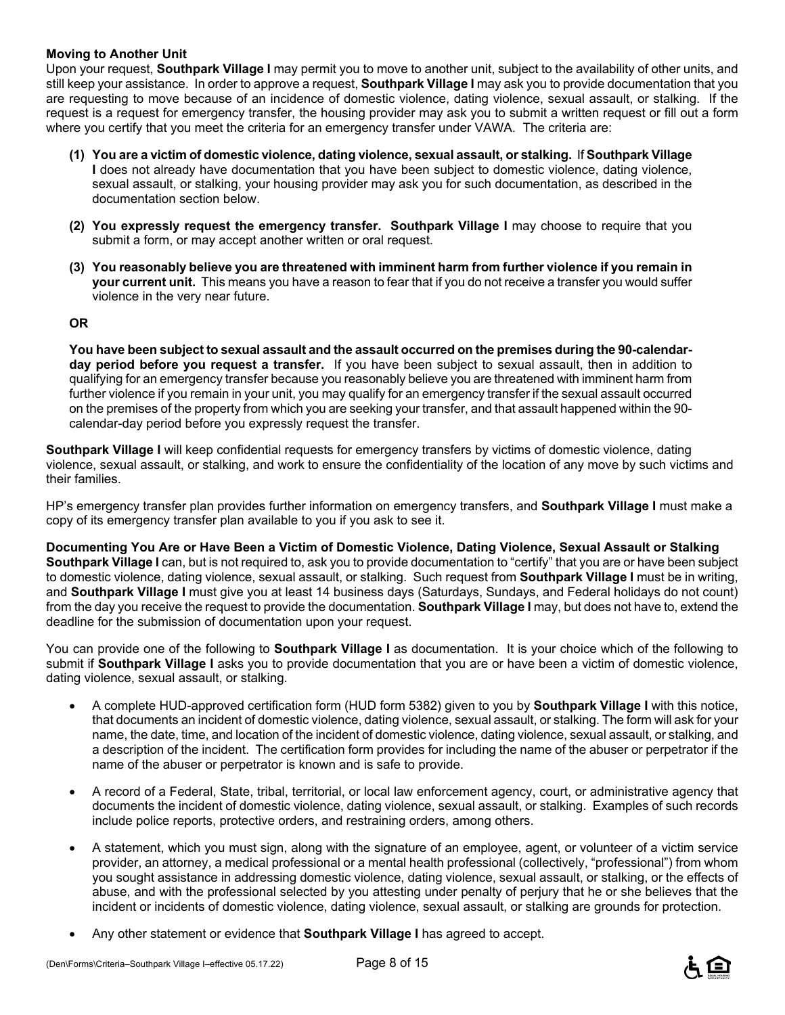#### **Moving to Another Unit**

Upon your request, **Southpark Village I** may permit you to move to another unit, subject to the availability of other units, and still keep your assistance. In order to approve a request, **Southpark Village I** may ask you to provide documentation that you are requesting to move because of an incidence of domestic violence, dating violence, sexual assault, or stalking. If the request is a request for emergency transfer, the housing provider may ask you to submit a written request or fill out a form where you certify that you meet the criteria for an emergency transfer under VAWA. The criteria are:

- **(1) You are a victim of domestic violence, dating violence, sexual assault, or stalking.** If **Southpark Village I** does not already have documentation that you have been subject to domestic violence, dating violence, sexual assault, or stalking, your housing provider may ask you for such documentation, as described in the documentation section below.
- **(2) You expressly request the emergency transfer. Southpark Village I** may choose to require that you submit a form, or may accept another written or oral request.
- **(3) You reasonably believe you are threatened with imminent harm from further violence if you remain in your current unit.** This means you have a reason to fear that if you do not receive a transfer you would suffer violence in the very near future.

#### **OR**

**You have been subject to sexual assault and the assault occurred on the premises during the 90-calendarday period before you request a transfer.** If you have been subject to sexual assault, then in addition to qualifying for an emergency transfer because you reasonably believe you are threatened with imminent harm from further violence if you remain in your unit, you may qualify for an emergency transfer if the sexual assault occurred on the premises of the property from which you are seeking your transfer, and that assault happened within the 90 calendar-day period before you expressly request the transfer.

**Southpark Village I** will keep confidential requests for emergency transfers by victims of domestic violence, dating violence, sexual assault, or stalking, and work to ensure the confidentiality of the location of any move by such victims and their families.

HP's emergency transfer plan provides further information on emergency transfers, and **Southpark Village I** must make a copy of its emergency transfer plan available to you if you ask to see it.

**Documenting You Are or Have Been a Victim of Domestic Violence, Dating Violence, Sexual Assault or Stalking Southpark Village I** can, but is not required to, ask you to provide documentation to "certify" that you are or have been subject to domestic violence, dating violence, sexual assault, or stalking. Such request from **Southpark Village I** must be in writing, and **Southpark Village I** must give you at least 14 business days (Saturdays, Sundays, and Federal holidays do not count) from the day you receive the request to provide the documentation. **Southpark Village I** may, but does not have to, extend the deadline for the submission of documentation upon your request.

You can provide one of the following to **Southpark Village I** as documentation. It is your choice which of the following to submit if **Southpark Village I** asks you to provide documentation that you are or have been a victim of domestic violence, dating violence, sexual assault, or stalking.

- A complete HUD-approved certification form (HUD form 5382) given to you by **Southpark Village I** with this notice, that documents an incident of domestic violence, dating violence, sexual assault, or stalking. The form will ask for your name, the date, time, and location of the incident of domestic violence, dating violence, sexual assault, or stalking, and a description of the incident. The certification form provides for including the name of the abuser or perpetrator if the name of the abuser or perpetrator is known and is safe to provide.
- A record of a Federal, State, tribal, territorial, or local law enforcement agency, court, or administrative agency that documents the incident of domestic violence, dating violence, sexual assault, or stalking. Examples of such records include police reports, protective orders, and restraining orders, among others.
- A statement, which you must sign, along with the signature of an employee, agent, or volunteer of a victim service provider, an attorney, a medical professional or a mental health professional (collectively, "professional") from whom you sought assistance in addressing domestic violence, dating violence, sexual assault, or stalking, or the effects of abuse, and with the professional selected by you attesting under penalty of perjury that he or she believes that the incident or incidents of domestic violence, dating violence, sexual assault, or stalking are grounds for protection.
- Any other statement or evidence that **Southpark Village I** has agreed to accept.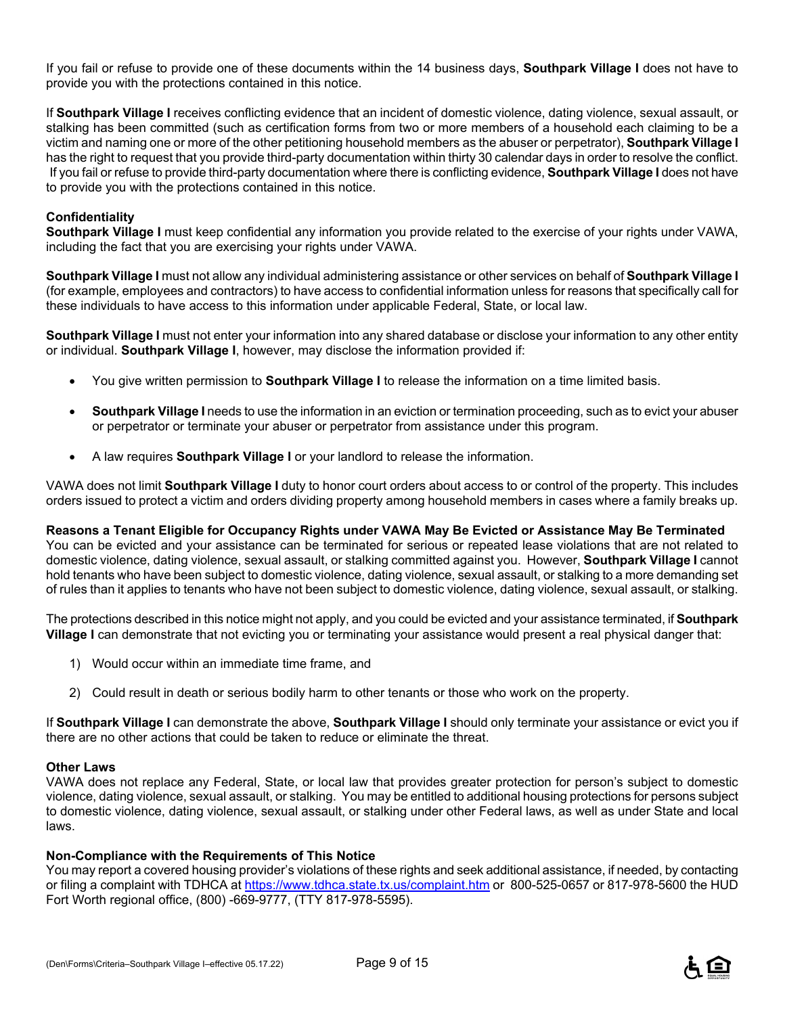If you fail or refuse to provide one of these documents within the 14 business days, **Southpark Village I** does not have to provide you with the protections contained in this notice.

If **Southpark Village I** receives conflicting evidence that an incident of domestic violence, dating violence, sexual assault, or stalking has been committed (such as certification forms from two or more members of a household each claiming to be a victim and naming one or more of the other petitioning household members as the abuser or perpetrator), **Southpark Village I** has the right to request that you provide third-party documentation within thirty 30 calendar days in order to resolve the conflict. If you fail or refuse to provide third-party documentation where there is conflicting evidence, **Southpark Village I** does not have to provide you with the protections contained in this notice.

#### **Confidentiality**

**Southpark Village I** must keep confidential any information you provide related to the exercise of your rights under VAWA, including the fact that you are exercising your rights under VAWA.

**Southpark Village I** must not allow any individual administering assistance or other services on behalf of **Southpark Village I** (for example, employees and contractors) to have access to confidential information unless for reasons that specifically call for these individuals to have access to this information under applicable Federal, State, or local law.

**Southpark Village I** must not enter your information into any shared database or disclose your information to any other entity or individual. **Southpark Village I**, however, may disclose the information provided if:

- You give written permission to **Southpark Village I** to release the information on a time limited basis.
- **Southpark Village I** needs to use the information in an eviction or termination proceeding, such as to evict your abuser or perpetrator or terminate your abuser or perpetrator from assistance under this program.
- A law requires **Southpark Village I** or your landlord to release the information.

VAWA does not limit **Southpark Village I** duty to honor court orders about access to or control of the property. This includes orders issued to protect a victim and orders dividing property among household members in cases where a family breaks up.

**Reasons a Tenant Eligible for Occupancy Rights under VAWA May Be Evicted or Assistance May Be Terminated**  You can be evicted and your assistance can be terminated for serious or repeated lease violations that are not related to domestic violence, dating violence, sexual assault, or stalking committed against you. However, **Southpark Village I** cannot hold tenants who have been subject to domestic violence, dating violence, sexual assault, or stalking to a more demanding set of rules than it applies to tenants who have not been subject to domestic violence, dating violence, sexual assault, or stalking.

The protections described in this notice might not apply, and you could be evicted and your assistance terminated, if **Southpark Village I** can demonstrate that not evicting you or terminating your assistance would present a real physical danger that:

- 1) Would occur within an immediate time frame, and
- 2) Could result in death or serious bodily harm to other tenants or those who work on the property.

If **Southpark Village I** can demonstrate the above, **Southpark Village I** should only terminate your assistance or evict you if there are no other actions that could be taken to reduce or eliminate the threat.

#### **Other Laws**

VAWA does not replace any Federal, State, or local law that provides greater protection for person's subject to domestic violence, dating violence, sexual assault, or stalking. You may be entitled to additional housing protections for persons subject to domestic violence, dating violence, sexual assault, or stalking under other Federal laws, as well as under State and local laws.

#### **Non-Compliance with the Requirements of This Notice**

You may report a covered housing provider's violations of these rights and seek additional assistance, if needed, by contacting or filing a complaint with TDHCA at https://www.tdhca.state.tx.us/complaint.htm or 800-525-0657 or 817-978-5600 the HUD Fort Worth regional office, (800) -669-9777, (TTY 817-978-5595).

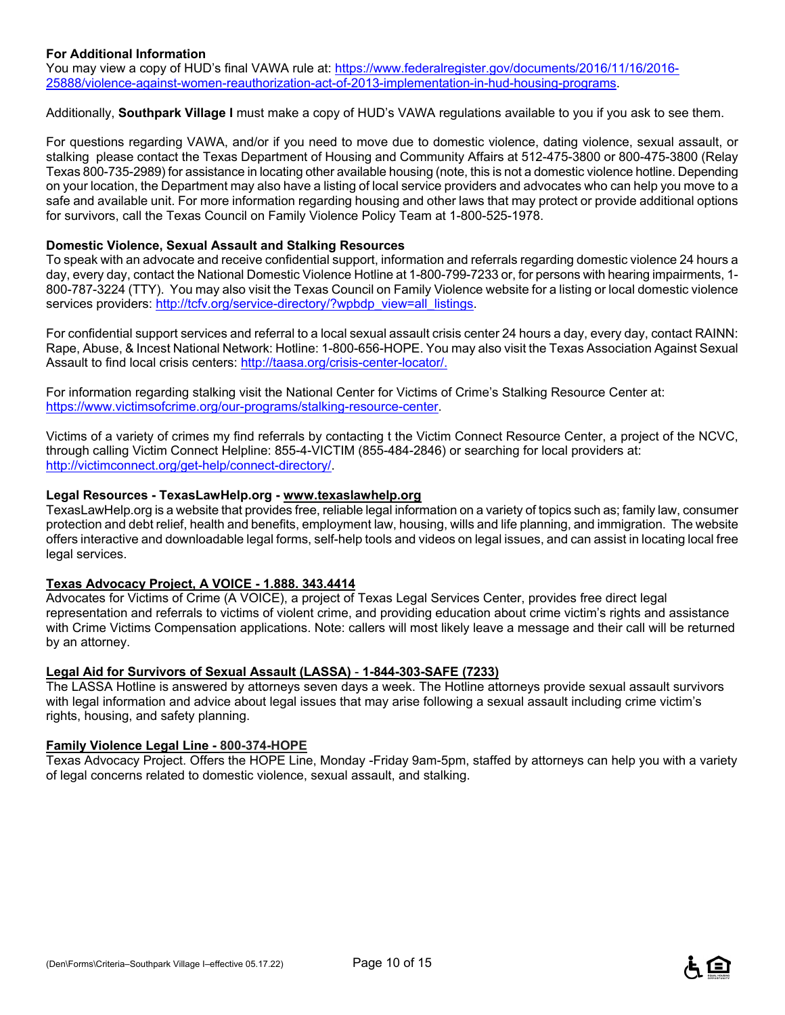#### **For Additional Information**

You may view a copy of HUD's final VAWA rule at: https://www.federalregister.gov/documents/2016/11/16/2016-25888/violence-against-women-reauthorization-act-of-2013-implementation-in-hud-housing-programs.

Additionally, **Southpark Village I** must make a copy of HUD's VAWA regulations available to you if you ask to see them.

For questions regarding VAWA, and/or if you need to move due to domestic violence, dating violence, sexual assault, or stalking please contact the Texas Department of Housing and Community Affairs at 512-475-3800 or 800-475-3800 (Relay Texas 800-735-2989) for assistance in locating other available housing (note, this is not a domestic violence hotline. Depending on your location, the Department may also have a listing of local service providers and advocates who can help you move to a safe and available unit. For more information regarding housing and other laws that may protect or provide additional options for survivors, call the Texas Council on Family Violence Policy Team at 1-800-525-1978.

#### **Domestic Violence, Sexual Assault and Stalking Resources**

To speak with an advocate and receive confidential support, information and referrals regarding domestic violence 24 hours a day, every day, contact the National Domestic Violence Hotline at 1-800-799-7233 or, for persons with hearing impairments, 1- 800-787-3224 (TTY). You may also visit the Texas Council on Family Violence website for a listing or local domestic violence services providers: http://tcfv.org/service-directory/?wpbdp\_view=all\_listings.

For confidential support services and referral to a local sexual assault crisis center 24 hours a day, every day, contact RAINN: Rape, Abuse, & Incest National Network: Hotline: 1-800-656-HOPE. You may also visit the Texas Association Against Sexual Assault to find local crisis centers: http://taasa.org/crisis-center-locator/.

For information regarding stalking visit the National Center for Victims of Crime's Stalking Resource Center at: https://www.victimsofcrime.org/our-programs/stalking-resource-center.

Victims of a variety of crimes my find referrals by contacting t the Victim Connect Resource Center, a project of the NCVC, through calling Victim Connect Helpline: 855-4-VICTIM (855-484-2846) or searching for local providers at: http://victimconnect.org/get-help/connect-directory/.

#### **Legal Resources - TexasLawHelp.org - www.texaslawhelp.org**

TexasLawHelp.org is a website that provides free, reliable legal information on a variety of topics such as; family law, consumer protection and debt relief, health and benefits, employment law, housing, wills and life planning, and immigration. The website offers interactive and downloadable legal forms, self-help tools and videos on legal issues, and can assist in locating local free legal services.

#### **Texas Advocacy Project, A VOICE - 1.888. 343.4414**

Advocates for Victims of Crime (A VOICE), a project of Texas Legal Services Center, provides free direct legal representation and referrals to victims of violent crime, and providing education about crime victim's rights and assistance with Crime Victims Compensation applications. Note: callers will most likely leave a message and their call will be returned by an attorney.

#### **Legal Aid for Survivors of Sexual Assault (LASSA)** - **1-844-303-SAFE (7233)**

The LASSA Hotline is answered by attorneys seven days a week. The Hotline attorneys provide sexual assault survivors with legal information and advice about legal issues that may arise following a sexual assault including crime victim's rights, housing, and safety planning.

#### **Family Violence Legal Line - 800-374-HOPE**

Texas Advocacy Project. Offers the HOPE Line, Monday -Friday 9am-5pm, staffed by attorneys can help you with a variety of legal concerns related to domestic violence, sexual assault, and stalking.

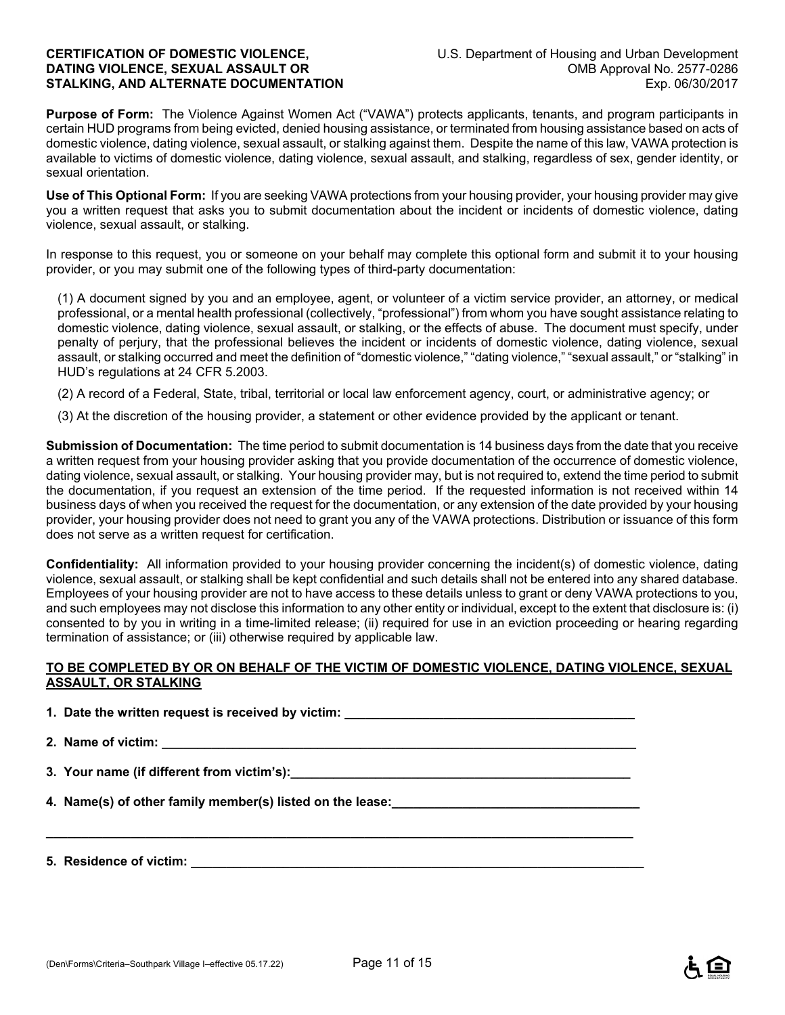**Purpose of Form:** The Violence Against Women Act ("VAWA") protects applicants, tenants, and program participants in certain HUD programs from being evicted, denied housing assistance, or terminated from housing assistance based on acts of domestic violence, dating violence, sexual assault, or stalking against them. Despite the name of this law, VAWA protection is available to victims of domestic violence, dating violence, sexual assault, and stalking, regardless of sex, gender identity, or sexual orientation.

**Use of This Optional Form:** If you are seeking VAWA protections from your housing provider, your housing provider may give you a written request that asks you to submit documentation about the incident or incidents of domestic violence, dating violence, sexual assault, or stalking.

In response to this request, you or someone on your behalf may complete this optional form and submit it to your housing provider, or you may submit one of the following types of third-party documentation:

(1) A document signed by you and an employee, agent, or volunteer of a victim service provider, an attorney, or medical professional, or a mental health professional (collectively, "professional") from whom you have sought assistance relating to domestic violence, dating violence, sexual assault, or stalking, or the effects of abuse. The document must specify, under penalty of perjury, that the professional believes the incident or incidents of domestic violence, dating violence, sexual assault, or stalking occurred and meet the definition of "domestic violence," "dating violence," "sexual assault," or "stalking" in HUD's regulations at 24 CFR 5.2003.

(2) A record of a Federal, State, tribal, territorial or local law enforcement agency, court, or administrative agency; or

(3) At the discretion of the housing provider, a statement or other evidence provided by the applicant or tenant.

**Submission of Documentation:** The time period to submit documentation is 14 business days from the date that you receive a written request from your housing provider asking that you provide documentation of the occurrence of domestic violence, dating violence, sexual assault, or stalking. Your housing provider may, but is not required to, extend the time period to submit the documentation, if you request an extension of the time period. If the requested information is not received within 14 business days of when you received the request for the documentation, or any extension of the date provided by your housing provider, your housing provider does not need to grant you any of the VAWA protections. Distribution or issuance of this form does not serve as a written request for certification.

**Confidentiality:** All information provided to your housing provider concerning the incident(s) of domestic violence, dating violence, sexual assault, or stalking shall be kept confidential and such details shall not be entered into any shared database. Employees of your housing provider are not to have access to these details unless to grant or deny VAWA protections to you, and such employees may not disclose this information to any other entity or individual, except to the extent that disclosure is: (i) consented to by you in writing in a time-limited release; (ii) required for use in an eviction proceeding or hearing regarding termination of assistance; or (iii) otherwise required by applicable law.

#### **TO BE COMPLETED BY OR ON BEHALF OF THE VICTIM OF DOMESTIC VIOLENCE, DATING VIOLENCE, SEXUAL ASSAULT, OR STALKING**

**1. Date the written request is received by victim: \_\_\_\_\_\_\_\_\_\_\_\_\_\_\_\_\_\_\_\_\_\_\_\_\_\_\_\_** 

2. Name of victim:

**\_\_\_\_\_\_\_\_\_\_\_\_\_\_\_\_\_\_\_\_\_\_\_\_\_\_\_\_\_\_\_\_\_\_\_\_\_\_\_\_\_\_\_\_\_\_\_\_\_\_\_\_\_\_\_\_\_\_\_\_\_\_\_\_\_\_\_\_\_\_\_\_\_\_\_\_\_\_\_\_\_\_\_** 

**3. Your name (if different from victim's):\_\_\_\_\_\_\_\_\_\_\_\_\_\_\_\_\_\_\_\_\_\_\_\_\_\_\_\_\_\_\_\_\_\_\_\_\_\_\_\_\_\_\_\_\_\_\_\_** 

**4. Name(s) of other family member(s) listed on the lease:** 

**5. Residence of victim: \_\_\_\_\_\_\_\_\_\_\_\_\_\_\_\_\_\_\_\_\_\_\_\_\_\_\_\_\_\_\_\_\_\_\_\_\_\_\_\_\_\_\_\_\_\_\_\_\_\_\_\_\_\_\_\_\_\_\_\_\_\_\_\_**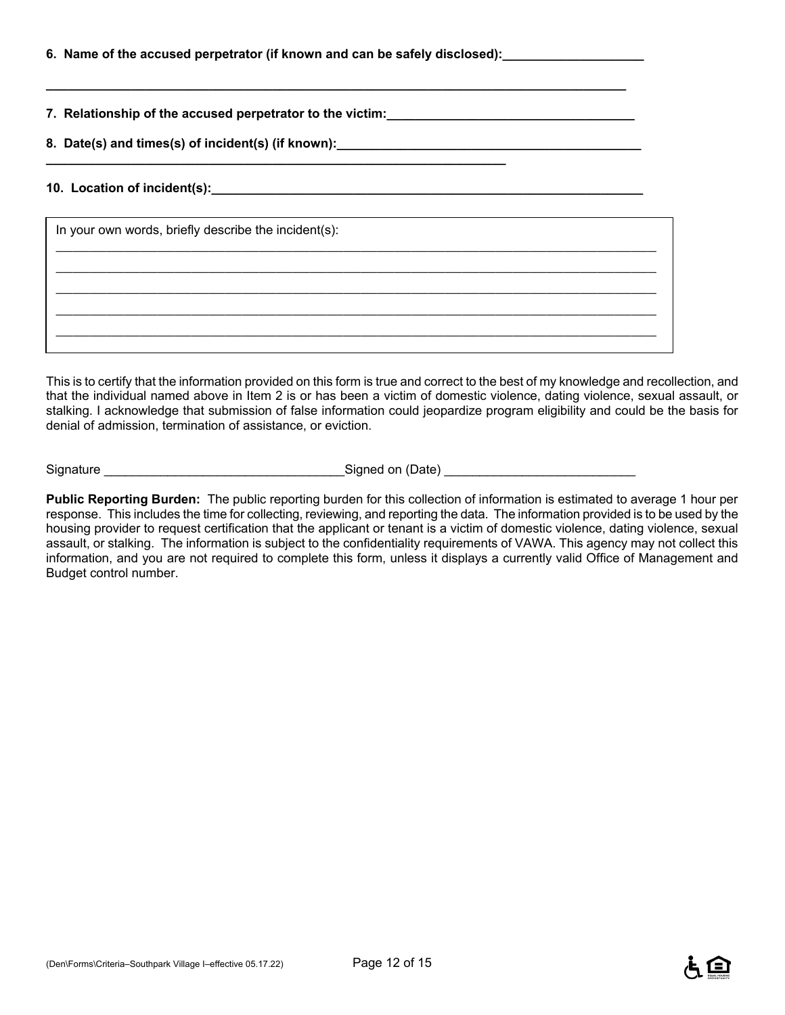| 6. Name of the accused perpetrator (if known and can be safely disclosed):_ |  |  |
|-----------------------------------------------------------------------------|--|--|
|                                                                             |  |  |

**7. Relationship of the accused perpetrator to the victim:\_\_\_\_\_\_\_\_\_\_\_\_\_\_\_\_\_\_\_\_\_\_\_\_\_\_\_\_\_\_\_\_\_\_\_** 

8. Date(s) and times(s) of incident(s) (if known): **\_\_\_\_\_\_\_\_\_\_\_\_\_\_\_\_\_\_\_\_\_\_\_\_\_\_\_\_\_\_\_\_\_\_\_\_\_\_\_\_\_\_\_\_\_\_\_\_\_\_\_\_\_\_\_\_\_\_\_\_\_\_\_\_\_** 

**\_\_\_\_\_\_\_\_\_\_\_\_\_\_\_\_\_\_\_\_\_\_\_\_\_\_\_\_\_\_\_\_\_\_\_\_\_\_\_\_\_\_\_\_\_\_\_\_\_\_\_\_\_\_\_\_\_\_\_\_\_\_\_\_\_\_\_\_\_\_\_\_\_\_\_\_\_\_\_\_\_\_** 

#### **10. Location of incident(s):\_\_\_\_\_\_\_\_\_\_\_\_\_\_\_\_\_\_\_\_\_\_\_\_\_\_\_\_\_\_\_\_\_\_\_\_\_\_\_\_\_\_\_\_\_\_\_\_\_\_\_\_\_\_\_\_\_\_\_\_\_**

| In your own words, briefly describe the incident(s): |  |  |  |  |
|------------------------------------------------------|--|--|--|--|
|                                                      |  |  |  |  |
|                                                      |  |  |  |  |
|                                                      |  |  |  |  |
|                                                      |  |  |  |  |

This is to certify that the information provided on this form is true and correct to the best of my knowledge and recollection, and that the individual named above in Item 2 is or has been a victim of domestic violence, dating violence, sexual assault, or stalking. I acknowledge that submission of false information could jeopardize program eligibility and could be the basis for denial of admission, termination of assistance, or eviction.

Signature \_\_\_\_\_\_\_\_\_\_\_\_\_\_\_\_\_\_\_\_\_\_\_\_\_\_\_\_\_\_\_\_\_\_Signed on (Date) \_\_\_\_\_\_\_\_\_\_\_\_\_\_\_\_\_\_\_\_\_\_\_\_\_\_\_

**Public Reporting Burden:** The public reporting burden for this collection of information is estimated to average 1 hour per response. This includes the time for collecting, reviewing, and reporting the data. The information provided is to be used by the housing provider to request certification that the applicant or tenant is a victim of domestic violence, dating violence, sexual assault, or stalking. The information is subject to the confidentiality requirements of VAWA. This agency may not collect this information, and you are not required to complete this form, unless it displays a currently valid Office of Management and Budget control number.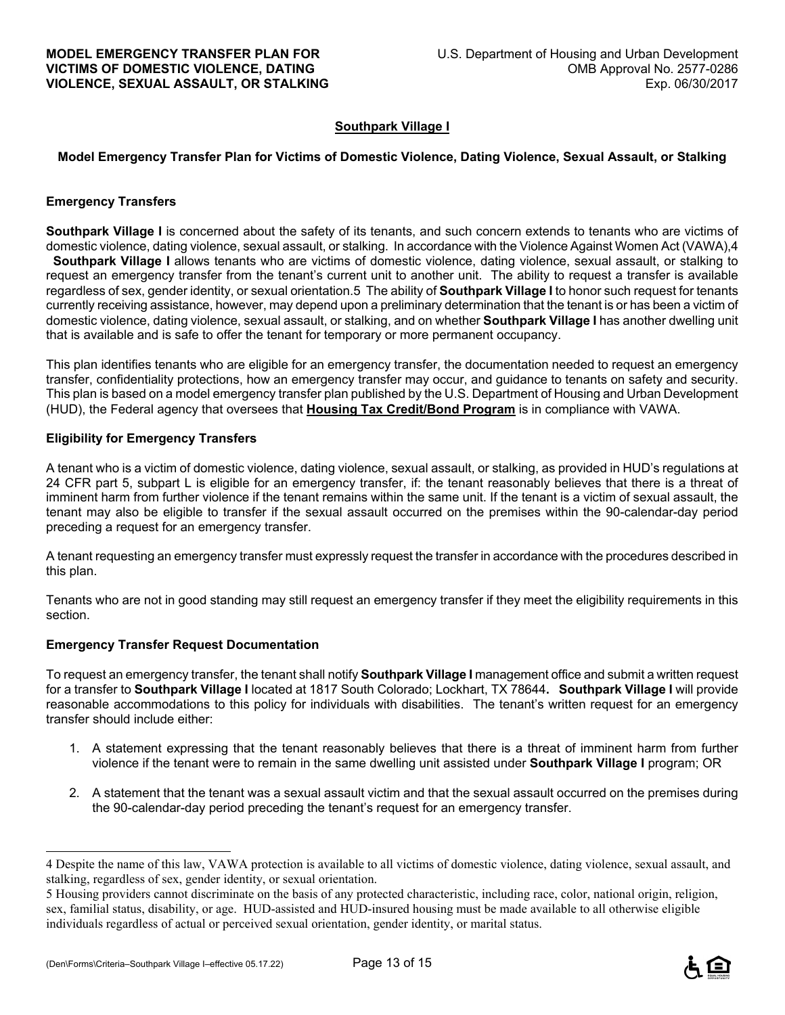#### **Southpark Village I**

#### **Model Emergency Transfer Plan for Victims of Domestic Violence, Dating Violence, Sexual Assault, or Stalking**

#### **Emergency Transfers**

**Southpark Village I** is concerned about the safety of its tenants, and such concern extends to tenants who are victims of domestic violence, dating violence, sexual assault, or stalking. In accordance with the Violence Against Women Act (VAWA),4 **Southpark Village I** allows tenants who are victims of domestic violence, dating violence, sexual assault, or stalking to request an emergency transfer from the tenant's current unit to another unit. The ability to request a transfer is available regardless of sex, gender identity, or sexual orientation.5 The ability of **Southpark Village I** to honor such request for tenants currently receiving assistance, however, may depend upon a preliminary determination that the tenant is or has been a victim of domestic violence, dating violence, sexual assault, or stalking, and on whether **Southpark Village I** has another dwelling unit that is available and is safe to offer the tenant for temporary or more permanent occupancy.

This plan identifies tenants who are eligible for an emergency transfer, the documentation needed to request an emergency transfer, confidentiality protections, how an emergency transfer may occur, and guidance to tenants on safety and security. This plan is based on a model emergency transfer plan published by the U.S. Department of Housing and Urban Development (HUD), the Federal agency that oversees that **Housing Tax Credit/Bond Program** is in compliance with VAWA.

#### **Eligibility for Emergency Transfers**

A tenant who is a victim of domestic violence, dating violence, sexual assault, or stalking, as provided in HUD's regulations at 24 CFR part 5, subpart L is eligible for an emergency transfer, if: the tenant reasonably believes that there is a threat of imminent harm from further violence if the tenant remains within the same unit. If the tenant is a victim of sexual assault, the tenant may also be eligible to transfer if the sexual assault occurred on the premises within the 90-calendar-day period preceding a request for an emergency transfer.

A tenant requesting an emergency transfer must expressly request the transfer in accordance with the procedures described in this plan.

Tenants who are not in good standing may still request an emergency transfer if they meet the eligibility requirements in this section.

#### **Emergency Transfer Request Documentation**

To request an emergency transfer, the tenant shall notify **Southpark Village I** management office and submit a written request for a transfer to **Southpark Village I** located at 1817 South Colorado; Lockhart, TX 78644**. Southpark Village I** will provide reasonable accommodations to this policy for individuals with disabilities. The tenant's written request for an emergency transfer should include either:

- 1. A statement expressing that the tenant reasonably believes that there is a threat of imminent harm from further violence if the tenant were to remain in the same dwelling unit assisted under **Southpark Village I** program; OR
- 2. A statement that the tenant was a sexual assault victim and that the sexual assault occurred on the premises during the 90-calendar-day period preceding the tenant's request for an emergency transfer.

÷



<sup>4</sup> Despite the name of this law, VAWA protection is available to all victims of domestic violence, dating violence, sexual assault, and stalking, regardless of sex, gender identity, or sexual orientation.

<sup>5</sup> Housing providers cannot discriminate on the basis of any protected characteristic, including race, color, national origin, religion, sex, familial status, disability, or age. HUD-assisted and HUD-insured housing must be made available to all otherwise eligible individuals regardless of actual or perceived sexual orientation, gender identity, or marital status.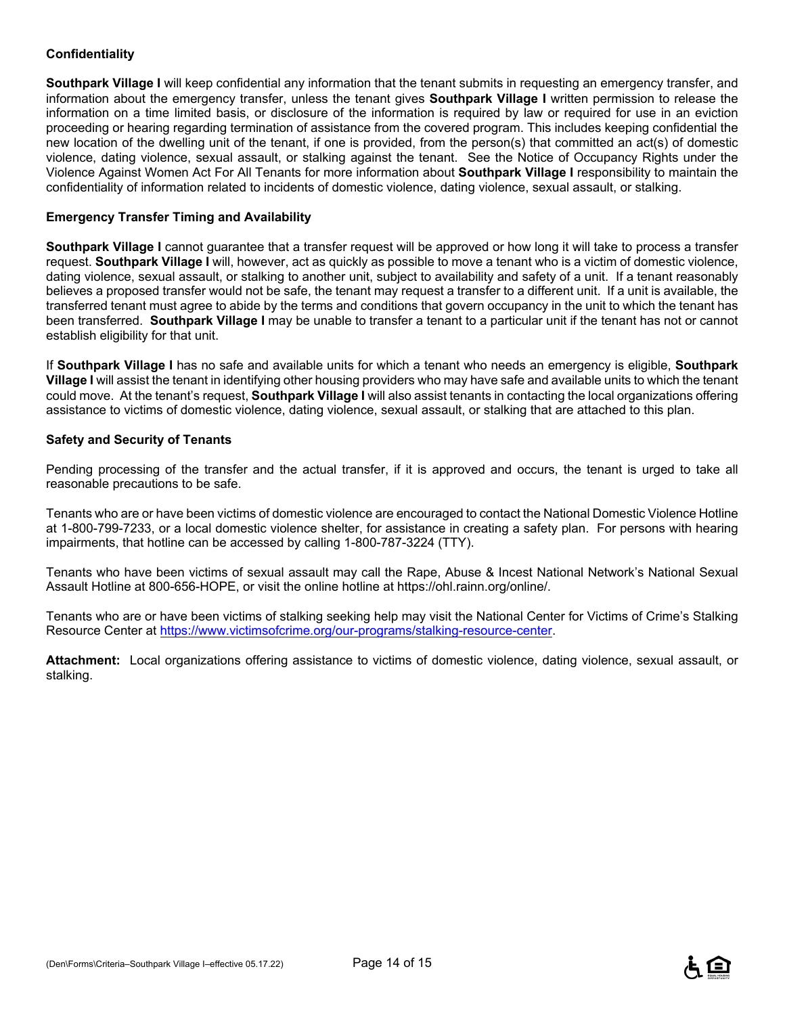#### **Confidentiality**

**Southpark Village I** will keep confidential any information that the tenant submits in requesting an emergency transfer, and information about the emergency transfer, unless the tenant gives **Southpark Village I** written permission to release the information on a time limited basis, or disclosure of the information is required by law or required for use in an eviction proceeding or hearing regarding termination of assistance from the covered program. This includes keeping confidential the new location of the dwelling unit of the tenant, if one is provided, from the person(s) that committed an act(s) of domestic violence, dating violence, sexual assault, or stalking against the tenant. See the Notice of Occupancy Rights under the Violence Against Women Act For All Tenants for more information about **Southpark Village I** responsibility to maintain the confidentiality of information related to incidents of domestic violence, dating violence, sexual assault, or stalking.

#### **Emergency Transfer Timing and Availability**

**Southpark Village I** cannot guarantee that a transfer request will be approved or how long it will take to process a transfer request. **Southpark Village I** will, however, act as quickly as possible to move a tenant who is a victim of domestic violence, dating violence, sexual assault, or stalking to another unit, subject to availability and safety of a unit. If a tenant reasonably believes a proposed transfer would not be safe, the tenant may request a transfer to a different unit. If a unit is available, the transferred tenant must agree to abide by the terms and conditions that govern occupancy in the unit to which the tenant has been transferred. **Southpark Village I** may be unable to transfer a tenant to a particular unit if the tenant has not or cannot establish eligibility for that unit.

If **Southpark Village I** has no safe and available units for which a tenant who needs an emergency is eligible, **Southpark Village I** will assist the tenant in identifying other housing providers who may have safe and available units to which the tenant could move. At the tenant's request, **Southpark Village I** will also assist tenants in contacting the local organizations offering assistance to victims of domestic violence, dating violence, sexual assault, or stalking that are attached to this plan.

#### **Safety and Security of Tenants**

Pending processing of the transfer and the actual transfer, if it is approved and occurs, the tenant is urged to take all reasonable precautions to be safe.

Tenants who are or have been victims of domestic violence are encouraged to contact the National Domestic Violence Hotline at 1-800-799-7233, or a local domestic violence shelter, for assistance in creating a safety plan. For persons with hearing impairments, that hotline can be accessed by calling 1-800-787-3224 (TTY).

Tenants who have been victims of sexual assault may call the Rape, Abuse & Incest National Network's National Sexual Assault Hotline at 800-656-HOPE, or visit the online hotline at https://ohl.rainn.org/online/.

Tenants who are or have been victims of stalking seeking help may visit the National Center for Victims of Crime's Stalking Resource Center at https://www.victimsofcrime.org/our-programs/stalking-resource-center.

**Attachment:** Local organizations offering assistance to victims of domestic violence, dating violence, sexual assault, or stalking.